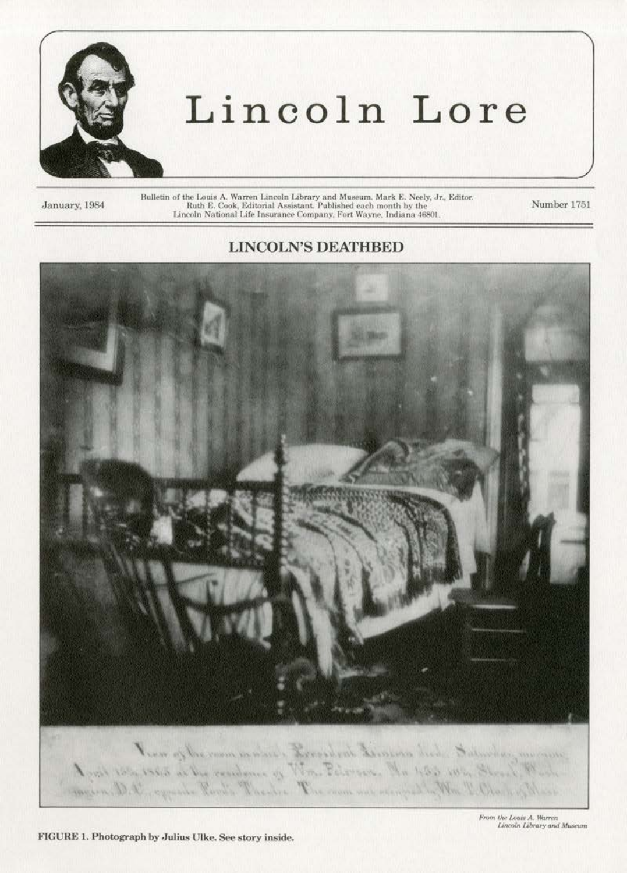

## Lincoln Lore

January, 1984

Bulletin of the Louis A. Warren Lincoln Library and Museum. Mark E. Neely, Jr., Editor.<br>Ruth E. Cook, Editorial Assistant. Published each month by the<br>Lincoln National Life Insurance Company, Fort Wayne, Indiana 46801.

Number 1751

## **LINCOLN'S DEATHBED**



From the Louis A. Warren Lincoln Library and Museum

FIGURE 1. Photograph by Julius Ulke. See story inside.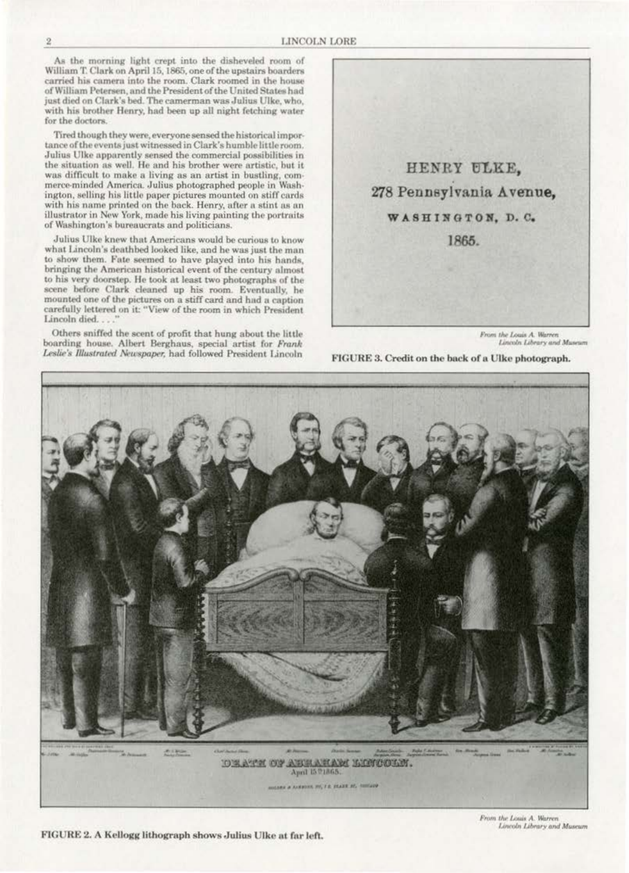As the morning light crept into the disheveled room of William T. Clark on April 15, 1865, one of the upstairs boarders carried his camera into the room. Clark roomed in the house of William Petersen, and the President of the United States had just died on Clark's bed. The camerman was Julius Ulke, who, with his brother Henry, had been up all night fetching water for the doctors.

Tired though they were, everyone sensed the historical importance of the events just witnessed in Clark's humble little room. Julius Ulke apparently sensed the commercial possibilities in the situation as well. He and his brother were artistic, but it was difficult to make a living as an artist in bustling, commerce-minded America. Julius photographed people in Washington, selling his little paper pictures mounted on stiff cards with his name printed on the back. Henry, after a stint as an illustrator in New York, made his living painting the portraits of Washington's bureaucrats and politicians.

Julius Ulke knew that Americans would be curious to know what Lincoln's deathbed looked like, and he was just the man to show them. Fate seemed to have played into his hands, bringing the American historical event of the century almost to his very doorstep. He took at least two photographs of the scene before Clark cleaned up his room. Eventually, he mounted one of the pictures on a stiff card and had a caption carefully lettered on it: "View of the room in which President Lincoln died...

Others sniffed the scent of profit that hung about the little boarding house. Albert Berghaus, special artist for Frank<br>Leslie's Illustrated Newspaper, had followed President Lincoln



From the Louis A. Warren<br>Lincoln Library and Museum





FIGURE 2. A Kellogg lithograph shows Julius Ulke at far left.

From the Louis A. Warren Lincoln Library and Museum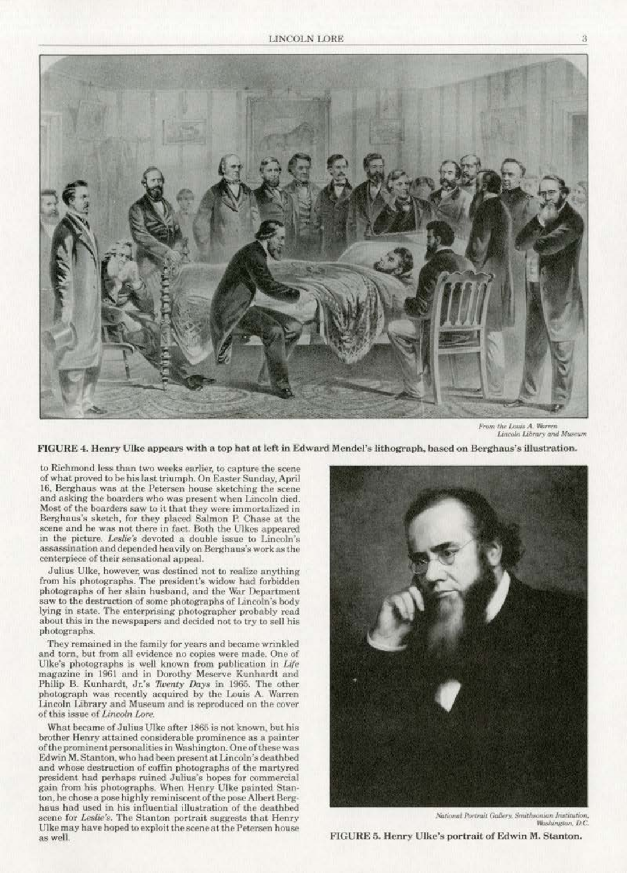

From the Louis A. Warren Lincoln Library and Museum

FIGURE 4. Henry Ulke appears with a top hat at left in Edward Mendel's lithograph, based on Berghaus's illustration.

to Richmond less than two weeks earlier, to capture the scene of what proved to be his last triumph. On Easter Sunday, April 16. Berghaus was at the Petersen house sketching the scene and asking the boarders who was present when Lincoln died. Most of the boarders saw to it that they were immortalized in Berghaus's sketch, for they placed Salmon P. Chase at the scene and he was not there in fact. Both the Ulkes appeared in the picture. Leslie's devoted a double issue to Lincoln's assassination and depended heavily on Berghaus's work as the centerpiece of their sensational appeal.

Julius Ulke, however, was destined not to realize anything from his photographs. The president's widow had forbidden photographs of her slain husband, and the War Department saw to the destruction of some photographs of Lincoln's body lying in state. The enterprising photographer probably read about this in the newspapers and decided not to try to sell his photographs.

They remained in the family for years and became wrinkled and torn, but from all evidence no copies were made. One of Ulke's photographs is well known from publication in Life magazine in 1961 and in Dorothy Meserve Kunhardt and Philip B. Kunhardt, Jr.'s Twenty Days in 1965. The other photograph was recently acquired by the Louis A. Warren Lincoln Library and Museum and is reproduced on the cover of this issue of *Lincoln Lore.* 

What became of Julius Ulke after 1865 is not known, but his brother Henry attained considerable prominence as a painter of the prominent personalities in Washington. One of these was Edwin M. Stanton, who had been presentat Linooln'sdeathbed and whose destruction of coffin photographs of the martyred president had perhaps ruined Julius's hopes for commercial gain from his photographs. When Henry Ulke painted Stan· ton, he chose a pose highly reminiscent of the pose Albert Berghaus had used in his influential illustration of the deathbed scene for *Us.lie's.* The Stanton portrait suggests that Henry Ulke may have hoped to exploit the scene at the Petersen house as well.



*National Portrait Gallery, Smithsonian Institution,* Washington, D.C.

FIGURE 5. Henry Ulke's portrait of Edwin M. Stanton.